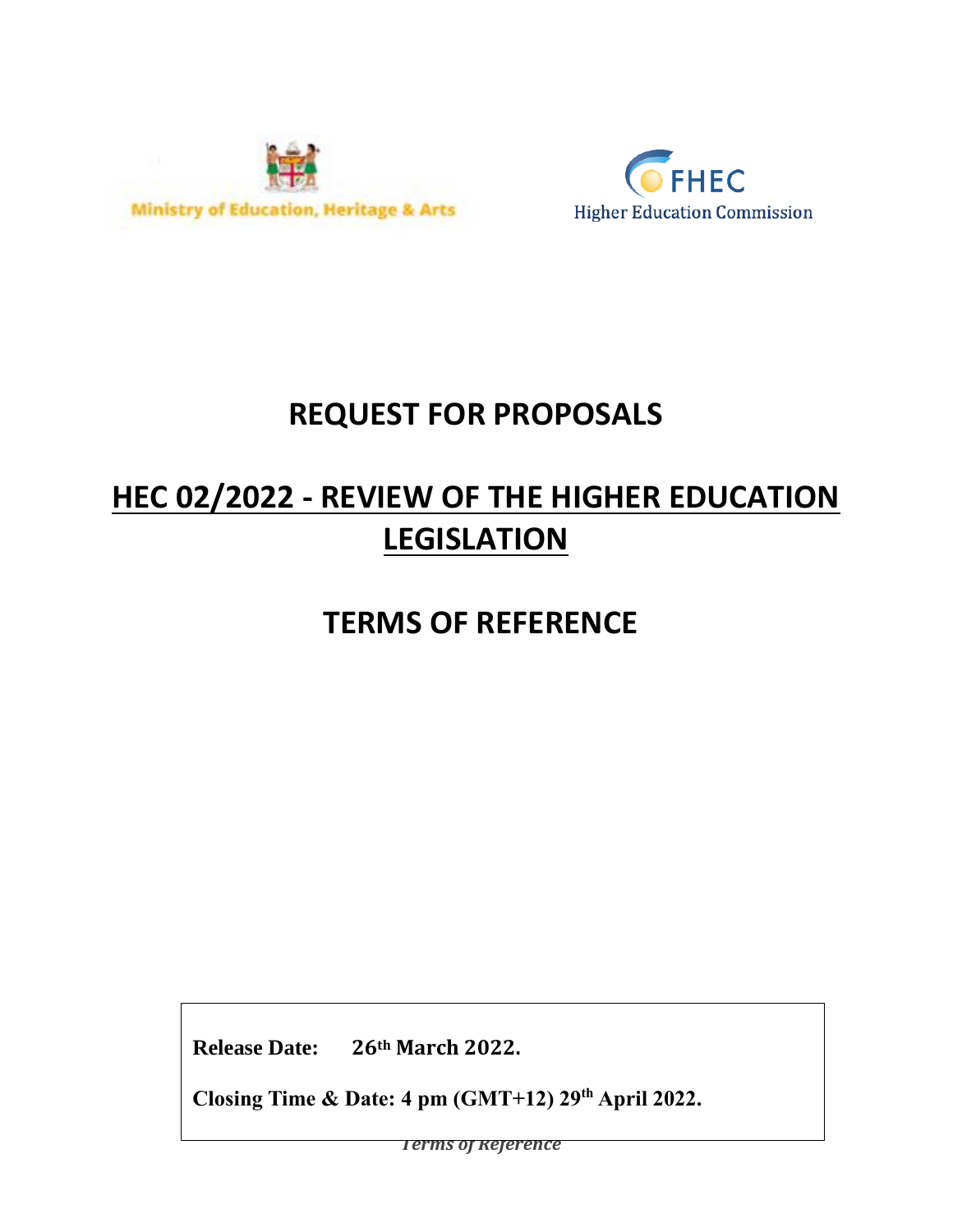



# **REQUEST FOR PROPOSALS**

# **HEC 02/2022 - REVIEW OF THE HIGHER EDUCATION LEGISLATION**

**TERMS OF REFERENCE**

**Release Date: 26th March 2022.**

**Closing Time & Date: 4 pm (GMT+12) 29 th April 2022.**

*Terms of Reference*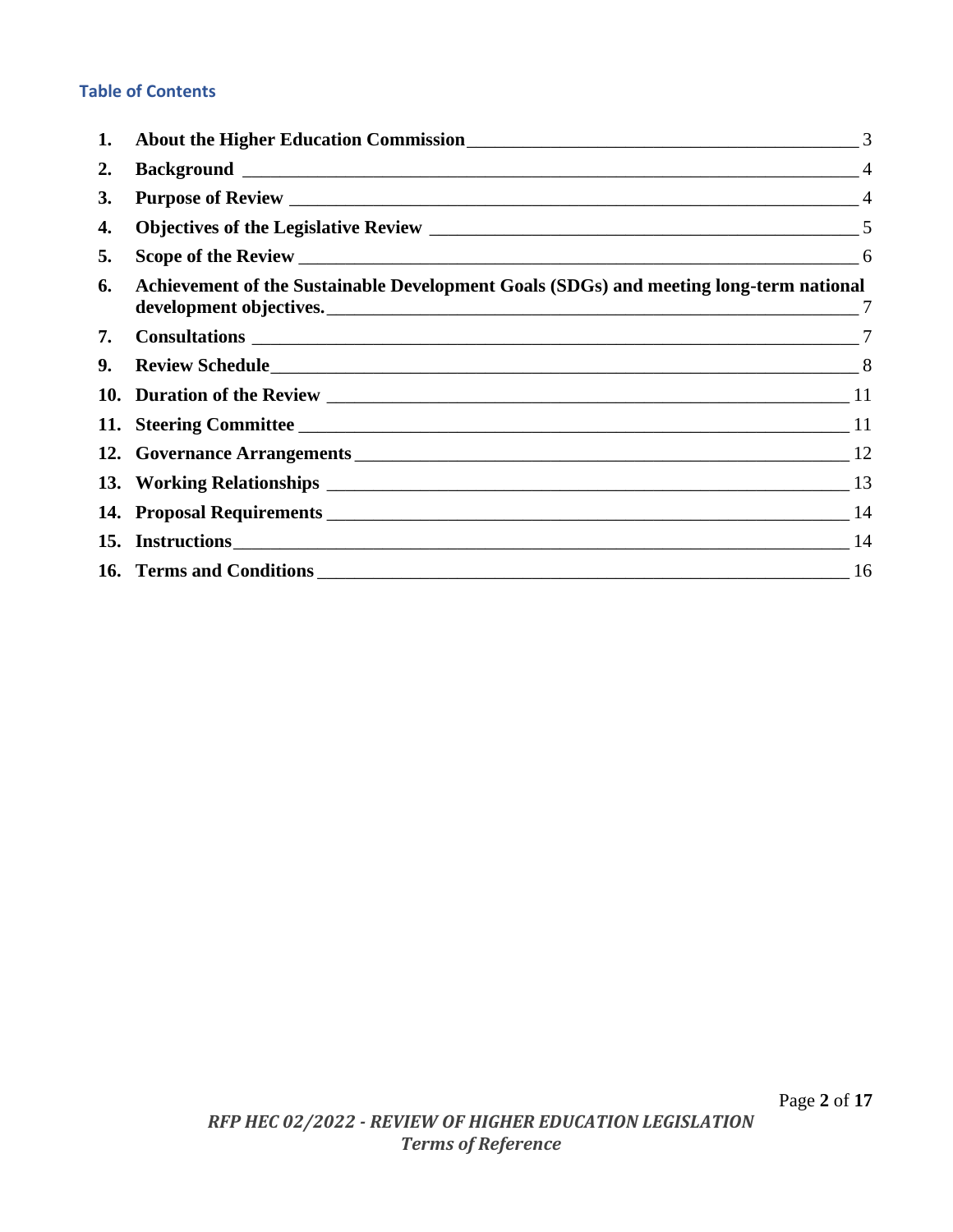## **Table of Contents**

| 1. |                                                                                        | 3 |
|----|----------------------------------------------------------------------------------------|---|
| 2. |                                                                                        |   |
| 3. |                                                                                        |   |
| 4. |                                                                                        |   |
| 5. |                                                                                        |   |
| 6. | Achievement of the Sustainable Development Goals (SDGs) and meeting long-term national |   |
| 7. |                                                                                        |   |
| 9. |                                                                                        |   |
|    |                                                                                        |   |
|    |                                                                                        |   |
|    |                                                                                        |   |
|    |                                                                                        |   |
|    |                                                                                        |   |
|    | 15. Instructions 14                                                                    |   |
|    |                                                                                        |   |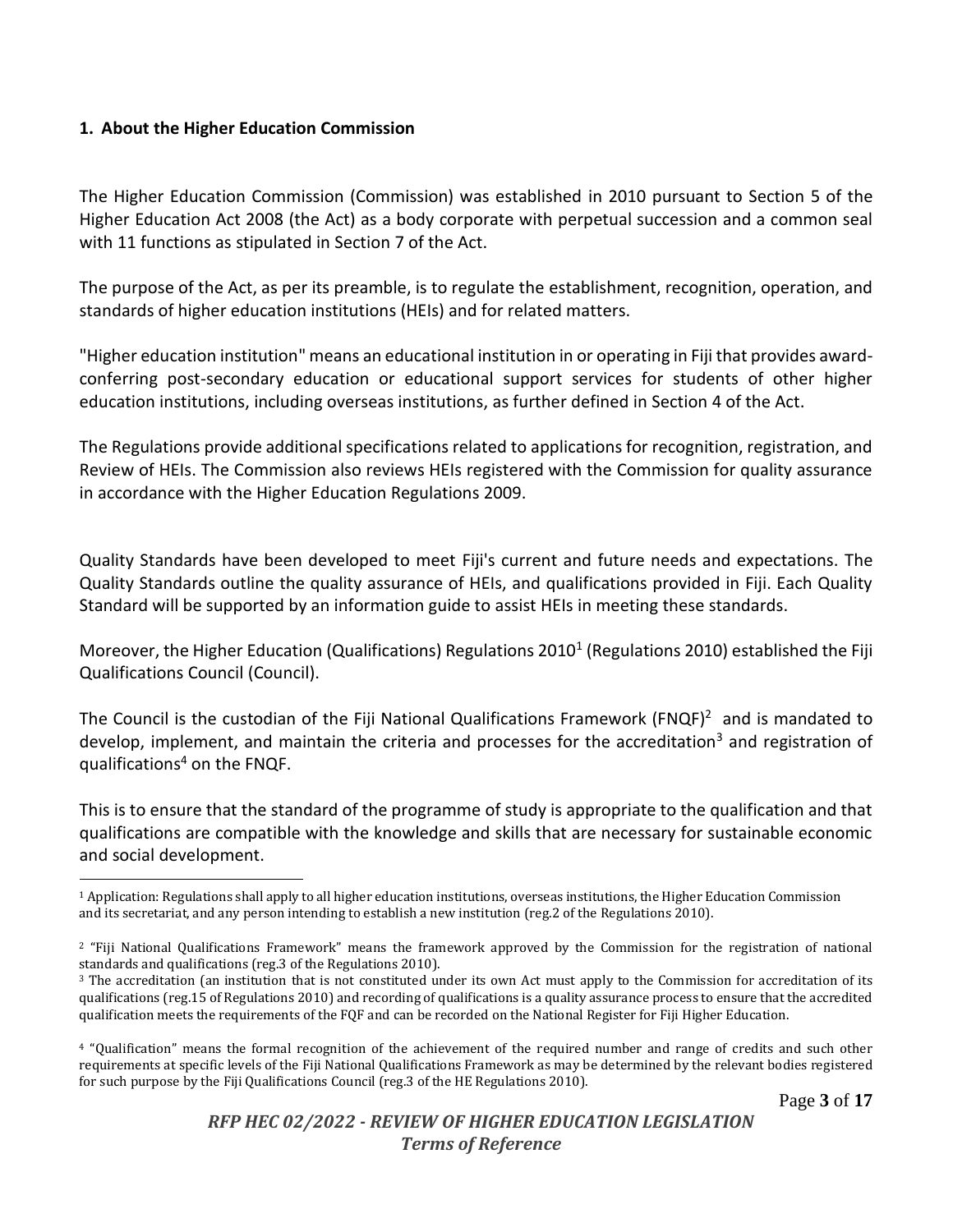#### <span id="page-2-0"></span>**1. About the Higher Education Commission**

The Higher Education Commission (Commission) was established in 2010 pursuant to Section 5 of the Higher Education Act 2008 (the Act) as a body corporate with perpetual succession and a common seal with 11 functions as stipulated in Section 7 of the Act.

The purpose of the Act, as per its preamble, is to regulate the establishment, recognition, operation, and standards of higher education institutions (HEIs) and for related matters.

"Higher education institution" means an educational institution in or operating in Fiji that provides awardconferring post-secondary education or educational support services for students of other higher education institutions, including overseas institutions, as further defined in Section 4 of the Act.

The Regulations provide additional specifications related to applications for recognition, registration, and Review of HEIs. The Commission also reviews HEIs registered with the Commission for quality assurance in accordance with the Higher Education Regulations 2009.

Quality Standards have been developed to meet Fiji's current and future needs and expectations. The Quality Standards outline the quality assurance of HEIs, and qualifications provided in Fiji. Each Quality Standard will be supported by an information guide to assist HEIs in meeting these standards.

Moreover, the Higher Education (Qualifications) Regulations 2010<sup>1</sup> (Regulations 2010) established the Fiji Qualifications Council (Council).

The Council is the custodian of the Fiji National Qualifications Framework (FNQF)<sup>2</sup> and is mandated to develop, implement, and maintain the criteria and processes for the accreditation<sup>3</sup> and registration of aualifications<sup>4</sup> on the FNQF.

This is to ensure that the standard of the programme of study is appropriate to the qualification and that qualifications are compatible with the knowledge and skills that are necessary for sustainable economic and social development.

<sup>1</sup> Application: Regulations shall apply to all higher education institutions, overseas institutions, the Higher Education Commission and its secretariat, and any person intending to establish a new institution (reg.2 of the Regulations 2010).

<sup>2</sup> "Fiji National Qualifications Framework" means the framework approved by the Commission for the registration of national standards and qualifications (reg.3 of the Regulations 2010).

 $3$  The accreditation (an institution that is not constituted under its own Act must apply to the Commission for accreditation of its qualifications (reg.15 of Regulations 2010) and recording of qualifications is a quality assurance process to ensure that the accredited qualification meets the requirements of the FQF and can be recorded on the National Register for Fiji Higher Education.

<sup>4</sup> "Qualification" means the formal recognition of the achievement of the required number and range of credits and such other requirements at specific levels of the Fiji National Qualifications Framework as may be determined by the relevant bodies registered for such purpose by the Fiji Qualifications Council (reg.3 of the HE Regulations 2010).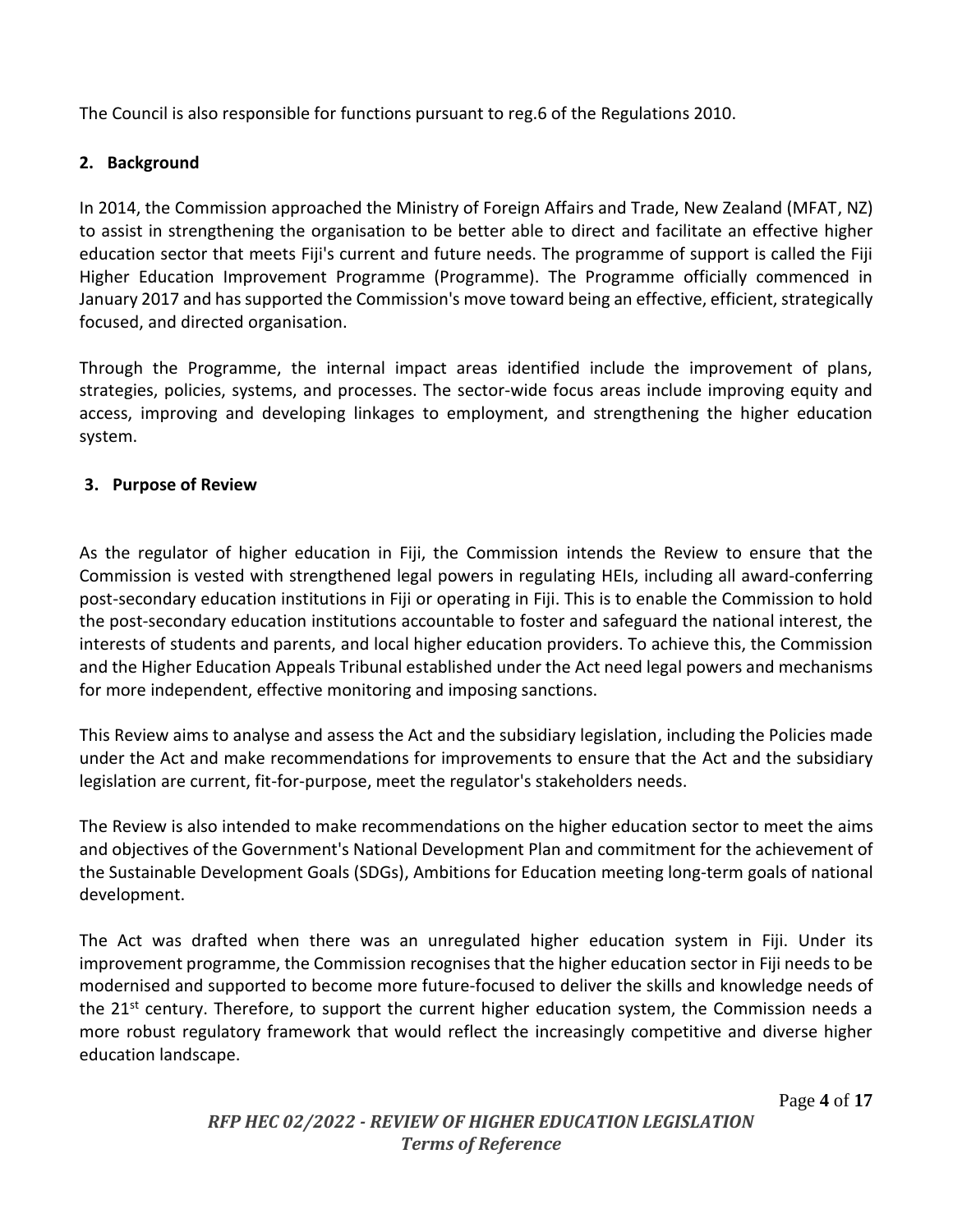The Council is also responsible for functions pursuant to reg.6 of the Regulations 2010.

## <span id="page-3-0"></span>**2. Background**

In 2014, the Commission approached the Ministry of Foreign Affairs and Trade, New Zealand (MFAT, NZ) to assist in strengthening the organisation to be better able to direct and facilitate an effective higher education sector that meets Fiji's current and future needs. The programme of support is called the Fiji Higher Education Improvement Programme (Programme). The Programme officially commenced in January 2017 and has supported the Commission's move toward being an effective, efficient, strategically focused, and directed organisation.

Through the Programme, the internal impact areas identified include the improvement of plans, strategies, policies, systems, and processes. The sector-wide focus areas include improving equity and access, improving and developing linkages to employment, and strengthening the higher education system.

## <span id="page-3-1"></span>**3. Purpose of Review**

As the regulator of higher education in Fiji, the Commission intends the Review to ensure that the Commission is vested with strengthened legal powers in regulating HEIs, including all award-conferring post-secondary education institutions in Fiji or operating in Fiji. This is to enable the Commission to hold the post-secondary education institutions accountable to foster and safeguard the national interest, the interests of students and parents, and local higher education providers. To achieve this, the Commission and the Higher Education Appeals Tribunal established under the Act need legal powers and mechanisms for more independent, effective monitoring and imposing sanctions.

This Review aims to analyse and assess the Act and the subsidiary legislation, including the Policies made under the Act and make recommendations for improvements to ensure that the Act and the subsidiary legislation are current, fit-for-purpose, meet the regulator's stakeholders needs.

The Review is also intended to make recommendations on the higher education sector to meet the aims and objectives of the Government's National Development Plan and commitment for the achievement of the Sustainable Development Goals (SDGs), Ambitions for Education meeting long-term goals of national development.

The Act was drafted when there was an unregulated higher education system in Fiji. Under its improvement programme, the Commission recognises that the higher education sector in Fiji needs to be modernised and supported to become more future-focused to deliver the skills and knowledge needs of the 21<sup>st</sup> century. Therefore, to support the current higher education system, the Commission needs a more robust regulatory framework that would reflect the increasingly competitive and diverse higher education landscape.

Page **4** of **17**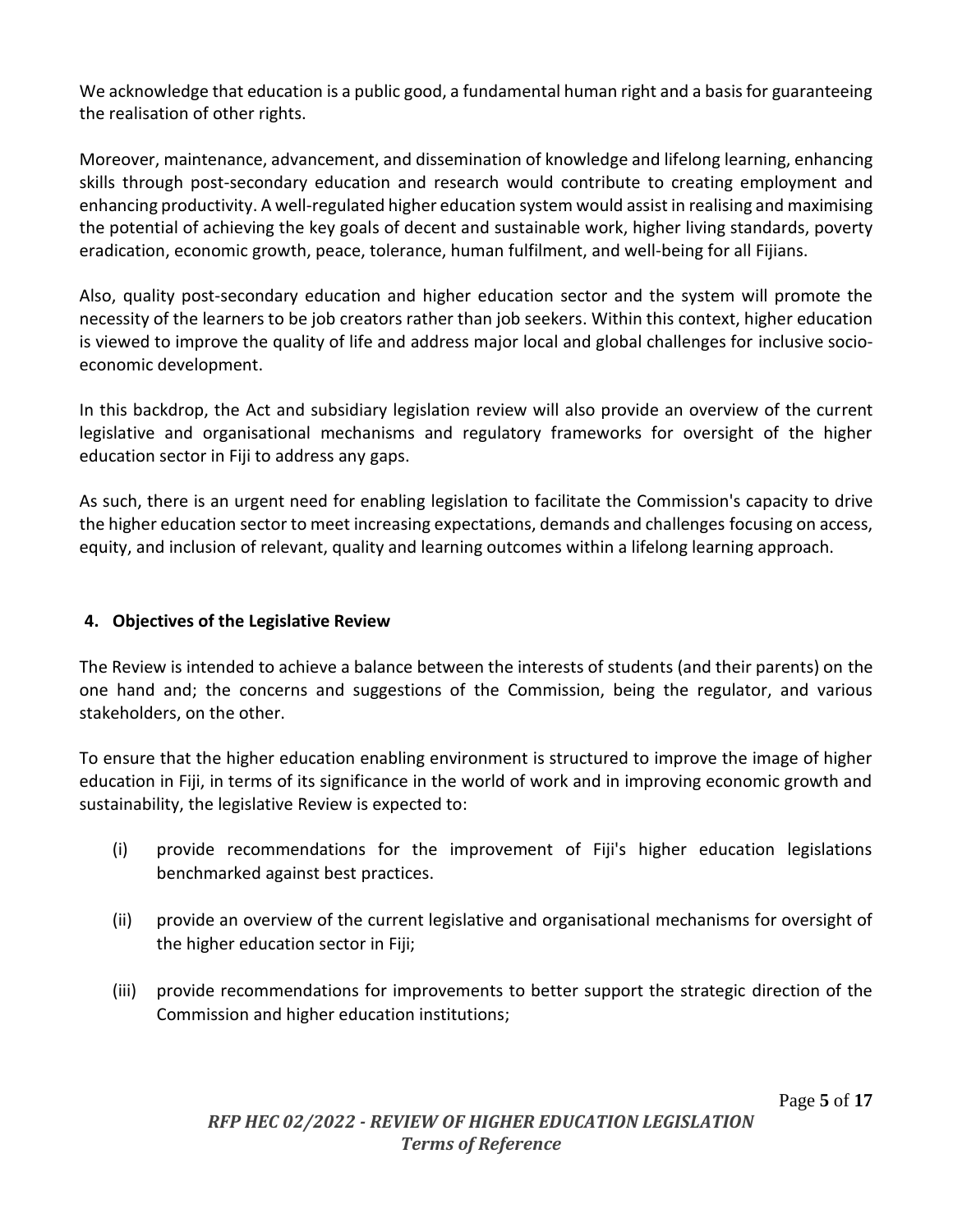We acknowledge that education is a public good, a fundamental human right and a basis for guaranteeing the realisation of other rights.

Moreover, maintenance, advancement, and dissemination of knowledge and lifelong learning, enhancing skills through post-secondary education and research would contribute to creating employment and enhancing productivity. A well-regulated higher education system would assist in realising and maximising the potential of achieving the key goals of decent and sustainable work, higher living standards, poverty eradication, economic growth, peace, tolerance, human fulfilment, and well-being for all Fijians.

Also, quality post-secondary education and higher education sector and the system will promote the necessity of the learners to be job creators rather than job seekers. Within this context, higher education is viewed to improve the quality of life and address major local and global challenges for inclusive socioeconomic development.

In this backdrop, the Act and subsidiary legislation review will also provide an overview of the current legislative and organisational mechanisms and regulatory frameworks for oversight of the higher education sector in Fiji to address any gaps.

As such, there is an urgent need for enabling legislation to facilitate the Commission's capacity to drive the higher education sector to meet increasing expectations, demands and challenges focusing on access, equity, and inclusion of relevant, quality and learning outcomes within a lifelong learning approach.

#### <span id="page-4-0"></span>**4. Objectives of the Legislative Review**

The Review is intended to achieve a balance between the interests of students (and their parents) on the one hand and; the concerns and suggestions of the Commission, being the regulator, and various stakeholders, on the other.

To ensure that the higher education enabling environment is structured to improve the image of higher education in Fiji, in terms of its significance in the world of work and in improving economic growth and sustainability, the legislative Review is expected to:

- (i) provide recommendations for the improvement of Fiji's higher education legislations benchmarked against best practices.
- (ii) provide an overview of the current legislative and organisational mechanisms for oversight of the higher education sector in Fiji;
- (iii) provide recommendations for improvements to better support the strategic direction of the Commission and higher education institutions;

Page **5** of **17**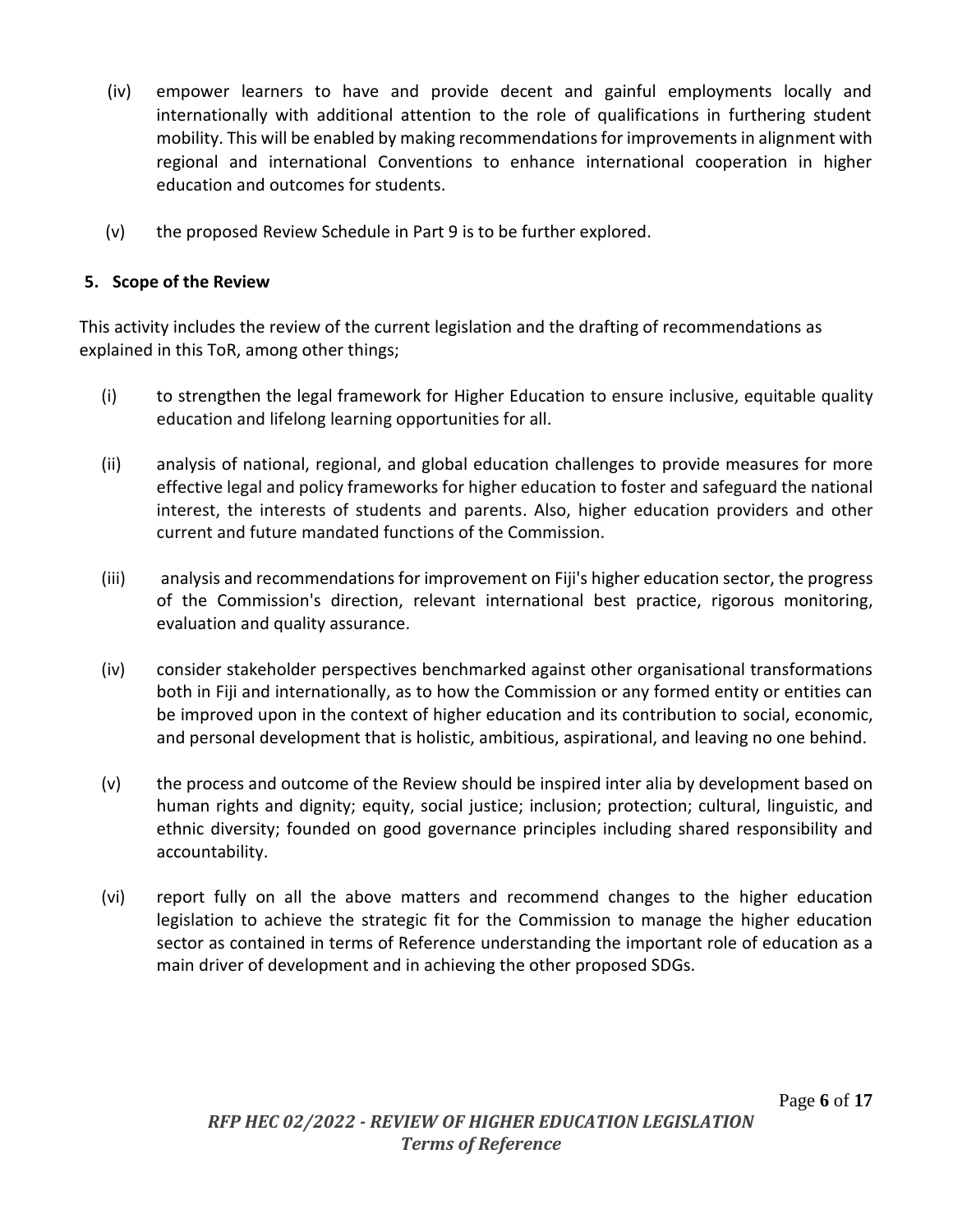- (iv) empower learners to have and provide decent and gainful employments locally and internationally with additional attention to the role of qualifications in furthering student mobility. This will be enabled by making recommendations for improvements in alignment with regional and international Conventions to enhance international cooperation in higher education and outcomes for students.
- (v) the proposed Review Schedule in Part 9 is to be further explored.

## <span id="page-5-0"></span>**5. Scope of the Review**

This activity includes the review of the current legislation and the drafting of recommendations as explained in this ToR, among other things;

- (i) to strengthen the legal framework for Higher Education to ensure inclusive, equitable quality education and lifelong learning opportunities for all.
- (ii) analysis of national, regional, and global education challenges to provide measures for more effective legal and policy frameworks for higher education to foster and safeguard the national interest, the interests of students and parents. Also, higher education providers and other current and future mandated functions of the Commission.
- (iii) analysis and recommendations for improvement on Fiji's higher education sector, the progress of the Commission's direction, relevant international best practice, rigorous monitoring, evaluation and quality assurance.
- (iv) consider stakeholder perspectives benchmarked against other organisational transformations both in Fiji and internationally, as to how the Commission or any formed entity or entities can be improved upon in the context of higher education and its contribution to social, economic, and personal development that is holistic, ambitious, aspirational, and leaving no one behind.
- (v) the process and outcome of the Review should be inspired inter alia by development based on human rights and dignity; equity, social justice; inclusion; protection; cultural, linguistic, and ethnic diversity; founded on good governance principles including shared responsibility and accountability.
- (vi) report fully on all the above matters and recommend changes to the higher education legislation to achieve the strategic fit for the Commission to manage the higher education sector as contained in terms of Reference understanding the important role of education as a main driver of development and in achieving the other proposed SDGs.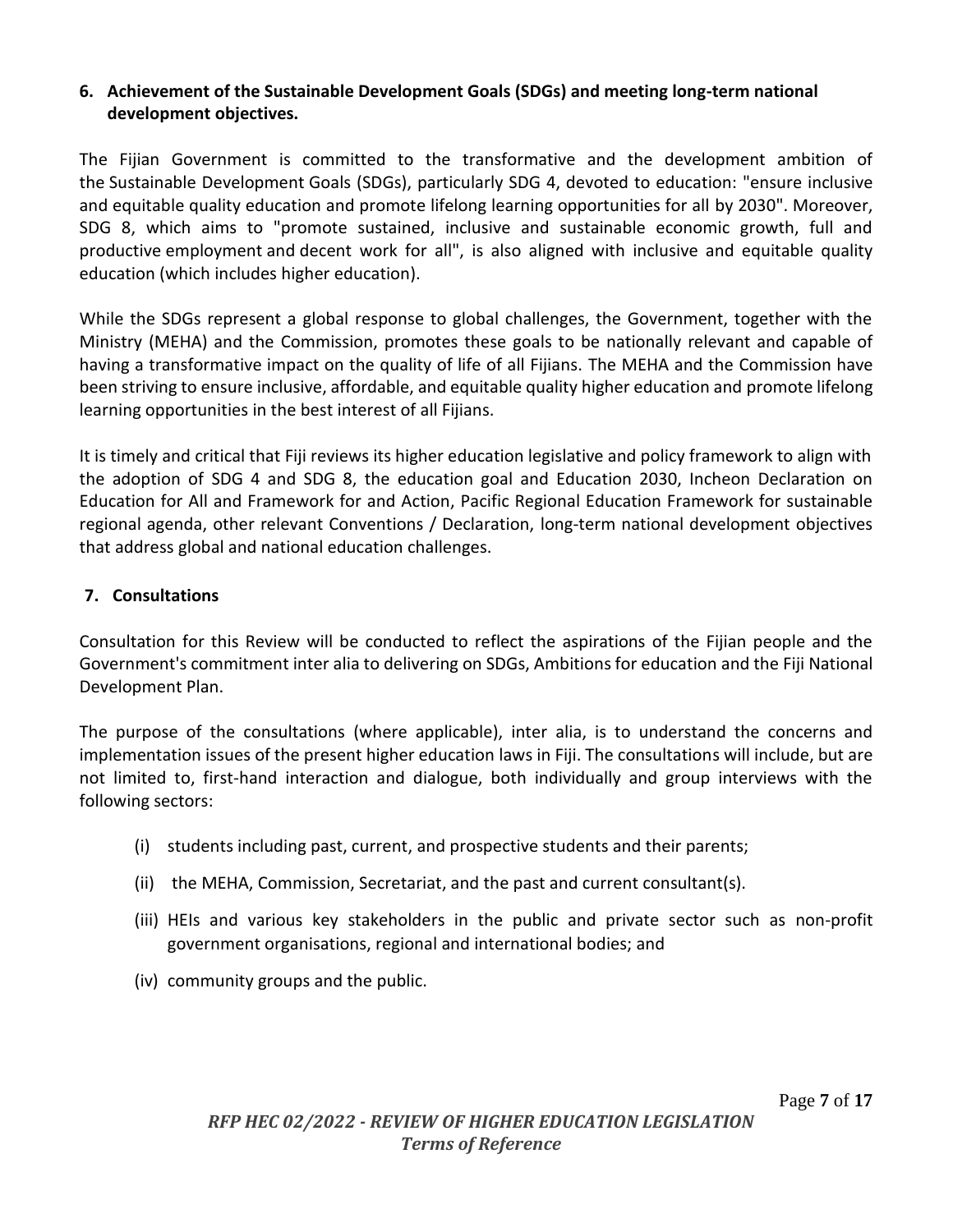## <span id="page-6-0"></span>**6. Achievement of the Sustainable Development Goals (SDGs) and meeting long-term national development objectives.**

The Fijian Government is committed to the transformative and the development ambition of the Sustainable Development Goals (SDGs), particularly SDG 4, devoted to education: "ensure inclusive and equitable quality education and promote lifelong learning opportunities for all [by 2030"](https://en.unesco.org/node/265601). Moreover, SDG 8, which aims to "promote sustained, inclusive and sustainable economic growth, full and productive employment and decent work for all", is also aligned with inclusive and equitable quality education (which includes higher education).

While the SDGs represent a global response to global challenges, the Government, together with the Ministry (MEHA) and the Commission, promotes these goals to be nationally relevant and capable of having a transformative impact on the quality of life of all Fijians. The MEHA and the Commission have been striving to ensure inclusive, affordable, and equitable quality higher education and promote lifelong learning opportunities in the best interest of all Fijians.

It is timely and critical that Fiji reviews its higher education legislative and policy framework to align with the adoption of SDG 4 and SDG 8, the education goal and Education 2030, Incheon Declaration on Education for All and Framework for and Action, Pacific Regional Education Framework for sustainable regional agenda, other relevant Conventions / Declaration, long-term national development objectives that address global and national education challenges.

#### <span id="page-6-1"></span>**7. Consultations**

Consultation for this Review will be conducted to reflect the aspirations of the Fijian people and the Government's commitment inter alia to delivering on SDGs, Ambitions for education and the Fiji National Development Plan.

The purpose of the consultations (where applicable), inter alia, is to understand the concerns and implementation issues of the present higher education laws in Fiji. The consultations will include, but are not limited to, first-hand interaction and dialogue, both individually and group interviews with the following sectors:

- (i) students including past, current, and prospective students and their parents;
- (ii) the MEHA, Commission, Secretariat, and the past and current consultant(s).
- (iii) HEIs and various key stakeholders in the public and private sector such as non-profit government organisations, regional and international bodies; and
- (iv) community groups and the public.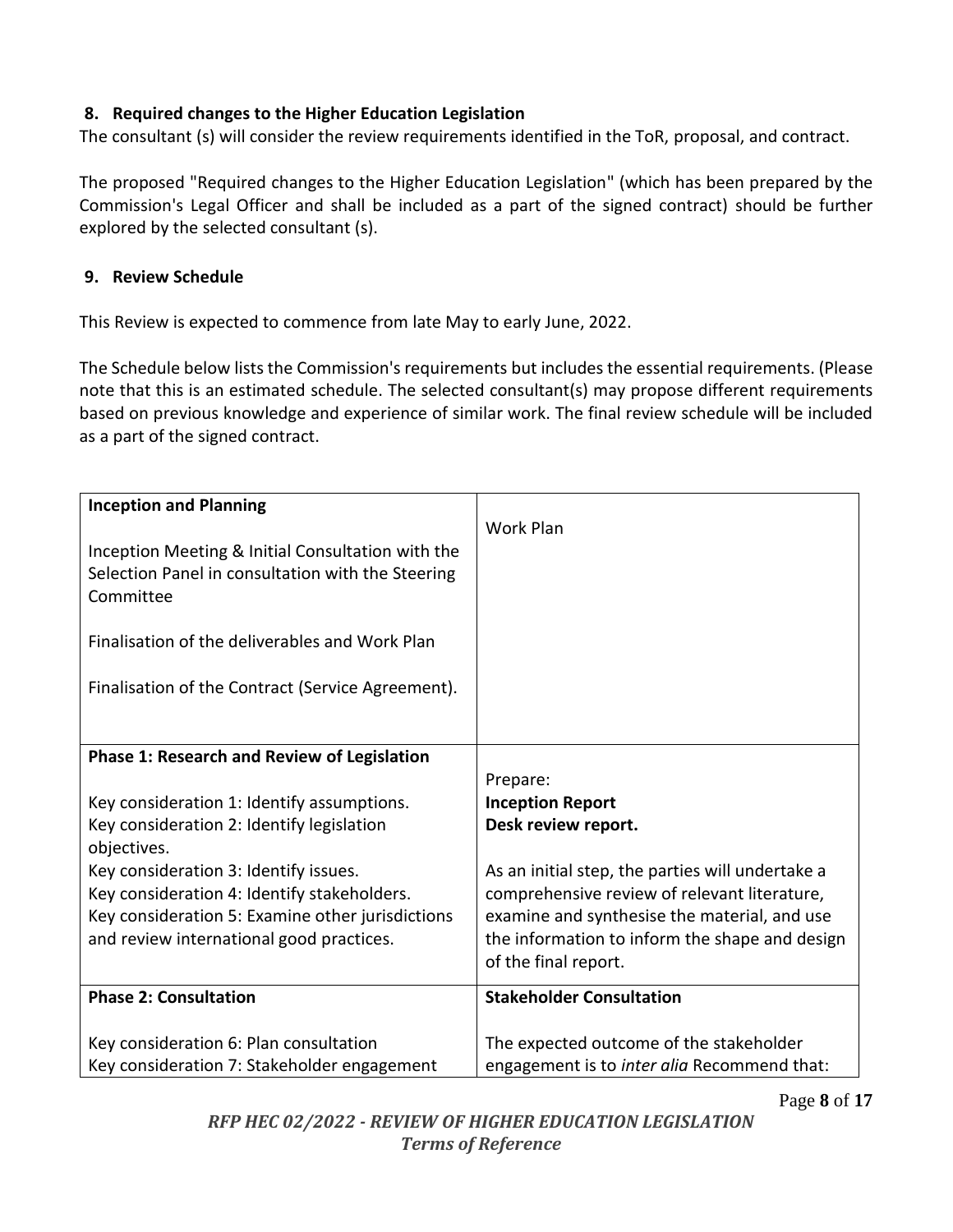## **8. Required changes to the Higher Education Legislation**

The consultant (s) will consider the review requirements identified in the ToR, proposal, and contract.

The proposed "Required changes to the Higher Education Legislation" (which has been prepared by the Commission's Legal Officer and shall be included as a part of the signed contract) should be further explored by the selected consultant (s).

#### <span id="page-7-0"></span>**9. Review Schedule**

This Review is expected to commence from late May to early June, 2022.

The Schedule below lists the Commission's requirements but includes the essential requirements. (Please note that this is an estimated schedule. The selected consultant(s) may propose different requirements based on previous knowledge and experience of similar work. The final review schedule will be included as a part of the signed contract.

| <b>Inception and Planning</b><br>Inception Meeting & Initial Consultation with the<br>Selection Panel in consultation with the Steering<br>Committee<br>Finalisation of the deliverables and Work Plan<br>Finalisation of the Contract (Service Agreement). | Work Plan                                                              |
|-------------------------------------------------------------------------------------------------------------------------------------------------------------------------------------------------------------------------------------------------------------|------------------------------------------------------------------------|
| <b>Phase 1: Research and Review of Legislation</b>                                                                                                                                                                                                          |                                                                        |
|                                                                                                                                                                                                                                                             | Prepare:                                                               |
| Key consideration 1: Identify assumptions.                                                                                                                                                                                                                  | <b>Inception Report</b>                                                |
| Key consideration 2: Identify legislation<br>objectives.                                                                                                                                                                                                    | Desk review report.                                                    |
| Key consideration 3: Identify issues.                                                                                                                                                                                                                       | As an initial step, the parties will undertake a                       |
| Key consideration 4: Identify stakeholders.                                                                                                                                                                                                                 | comprehensive review of relevant literature,                           |
| Key consideration 5: Examine other jurisdictions                                                                                                                                                                                                            | examine and synthesise the material, and use                           |
| and review international good practices.                                                                                                                                                                                                                    | the information to inform the shape and design<br>of the final report. |
| <b>Phase 2: Consultation</b>                                                                                                                                                                                                                                | <b>Stakeholder Consultation</b>                                        |
|                                                                                                                                                                                                                                                             |                                                                        |
| Key consideration 6: Plan consultation                                                                                                                                                                                                                      | The expected outcome of the stakeholder                                |
| Key consideration 7: Stakeholder engagement                                                                                                                                                                                                                 | engagement is to inter alia Recommend that:                            |

Page **8** of **17**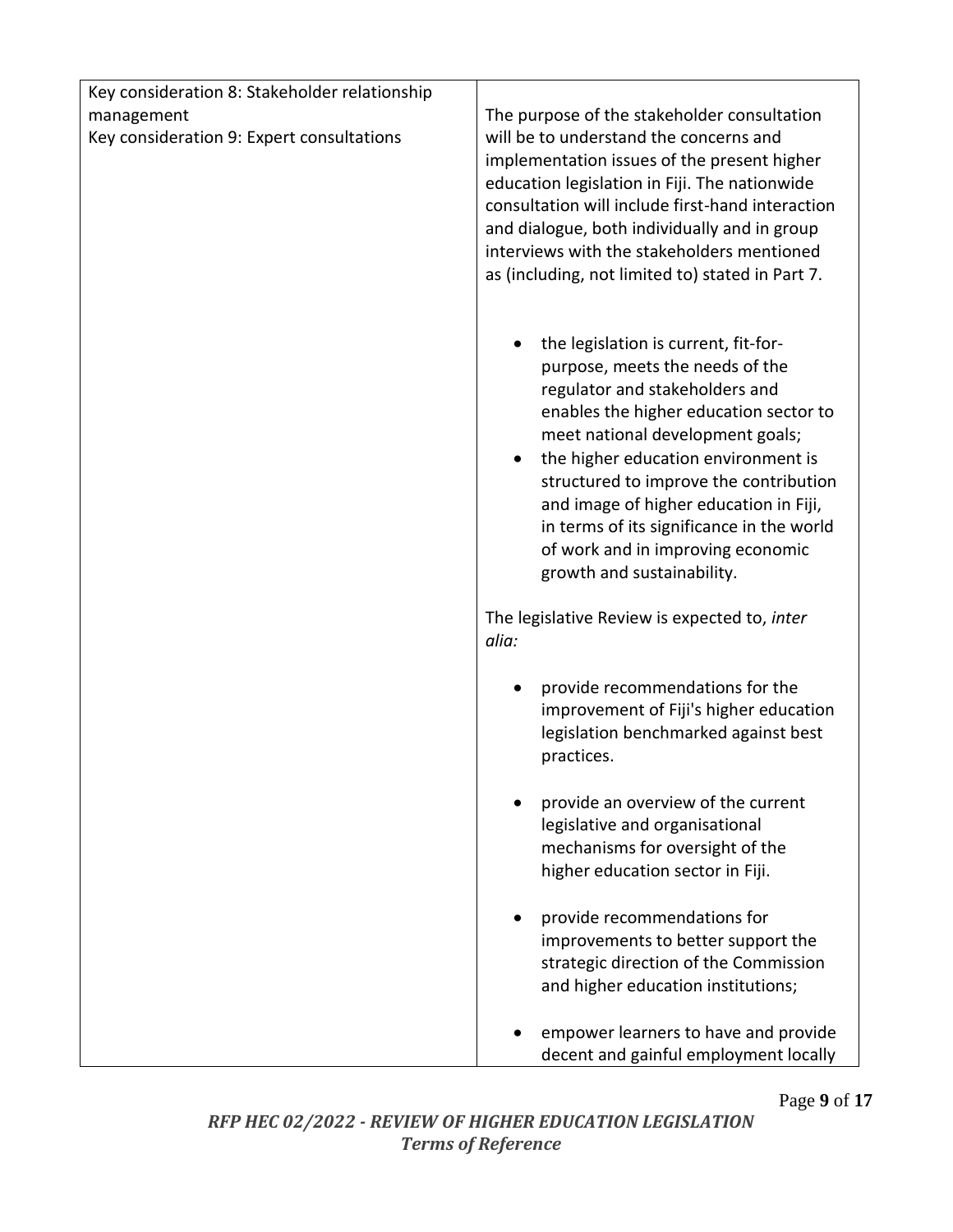| Key consideration 8: Stakeholder relationship |                                                                                            |
|-----------------------------------------------|--------------------------------------------------------------------------------------------|
| management                                    | The purpose of the stakeholder consultation                                                |
| Key consideration 9: Expert consultations     | will be to understand the concerns and                                                     |
|                                               | implementation issues of the present higher                                                |
|                                               | education legislation in Fiji. The nationwide                                              |
|                                               | consultation will include first-hand interaction                                           |
|                                               | and dialogue, both individually and in group<br>interviews with the stakeholders mentioned |
|                                               | as (including, not limited to) stated in Part 7.                                           |
|                                               |                                                                                            |
|                                               |                                                                                            |
|                                               | the legislation is current, fit-for-                                                       |
|                                               | purpose, meets the needs of the                                                            |
|                                               | regulator and stakeholders and                                                             |
|                                               | enables the higher education sector to                                                     |
|                                               | meet national development goals;                                                           |
|                                               | the higher education environment is                                                        |
|                                               | structured to improve the contribution                                                     |
|                                               | and image of higher education in Fiji,<br>in terms of its significance in the world        |
|                                               | of work and in improving economic                                                          |
|                                               | growth and sustainability.                                                                 |
|                                               |                                                                                            |
|                                               | The legislative Review is expected to, inter                                               |
|                                               | alia:                                                                                      |
|                                               |                                                                                            |
|                                               | provide recommendations for the<br>improvement of Fiji's higher education                  |
|                                               | legislation benchmarked against best                                                       |
|                                               | practices.                                                                                 |
|                                               |                                                                                            |
|                                               | provide an overview of the current                                                         |
|                                               | legislative and organisational                                                             |
|                                               | mechanisms for oversight of the                                                            |
|                                               | higher education sector in Fiji.                                                           |
|                                               |                                                                                            |
|                                               | provide recommendations for<br>improvements to better support the                          |
|                                               | strategic direction of the Commission                                                      |
|                                               | and higher education institutions;                                                         |
|                                               |                                                                                            |
|                                               | empower learners to have and provide                                                       |
|                                               | decent and gainful employment locally                                                      |

Page **9** of **17**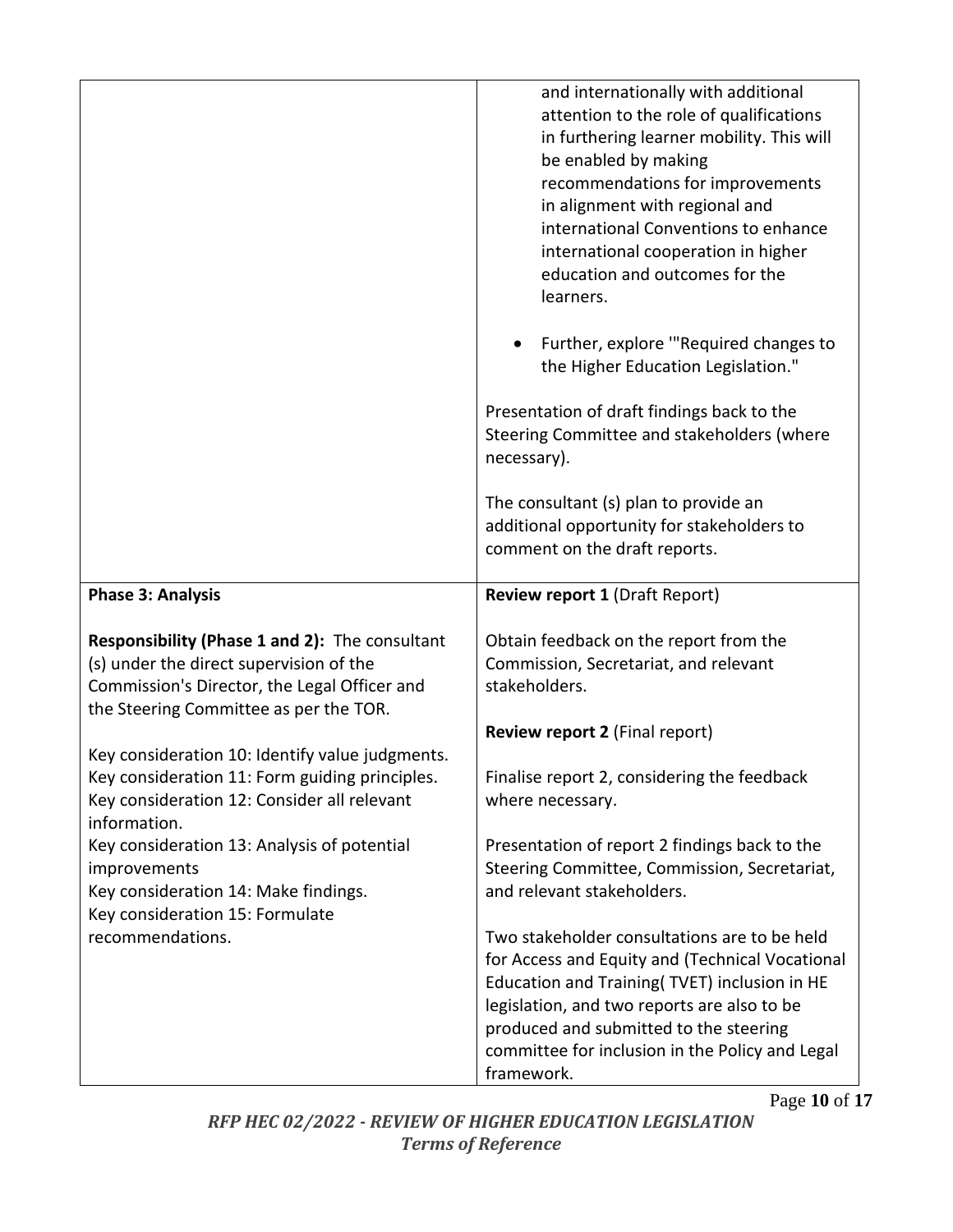|                                                                                                                                                                                     | and internationally with additional<br>attention to the role of qualifications<br>in furthering learner mobility. This will<br>be enabled by making<br>recommendations for improvements<br>in alignment with regional and<br>international Conventions to enhance<br>international cooperation in higher<br>education and outcomes for the<br>learners. |
|-------------------------------------------------------------------------------------------------------------------------------------------------------------------------------------|---------------------------------------------------------------------------------------------------------------------------------------------------------------------------------------------------------------------------------------------------------------------------------------------------------------------------------------------------------|
|                                                                                                                                                                                     | Further, explore "Required changes to<br>the Higher Education Legislation."                                                                                                                                                                                                                                                                             |
|                                                                                                                                                                                     | Presentation of draft findings back to the<br>Steering Committee and stakeholders (where<br>necessary).                                                                                                                                                                                                                                                 |
|                                                                                                                                                                                     | The consultant (s) plan to provide an<br>additional opportunity for stakeholders to<br>comment on the draft reports.                                                                                                                                                                                                                                    |
|                                                                                                                                                                                     |                                                                                                                                                                                                                                                                                                                                                         |
| <b>Phase 3: Analysis</b>                                                                                                                                                            | <b>Review report 1 (Draft Report)</b>                                                                                                                                                                                                                                                                                                                   |
| Responsibility (Phase 1 and 2): The consultant<br>(s) under the direct supervision of the<br>Commission's Director, the Legal Officer and<br>the Steering Committee as per the TOR. | Obtain feedback on the report from the<br>Commission, Secretariat, and relevant<br>stakeholders.                                                                                                                                                                                                                                                        |
|                                                                                                                                                                                     | <b>Review report 2 (Final report)</b>                                                                                                                                                                                                                                                                                                                   |
| Key consideration 10: Identify value judgments.<br>Key consideration 11: Form guiding principles.<br>Key consideration 12: Consider all relevant<br>information.                    | Finalise report 2, considering the feedback<br>where necessary.                                                                                                                                                                                                                                                                                         |
| Key consideration 13: Analysis of potential<br><i>improvements</i><br>Key consideration 14: Make findings.<br>Key consideration 15: Formulate                                       | Presentation of report 2 findings back to the<br>Steering Committee, Commission, Secretariat,<br>and relevant stakeholders.                                                                                                                                                                                                                             |

Page **10** of **17**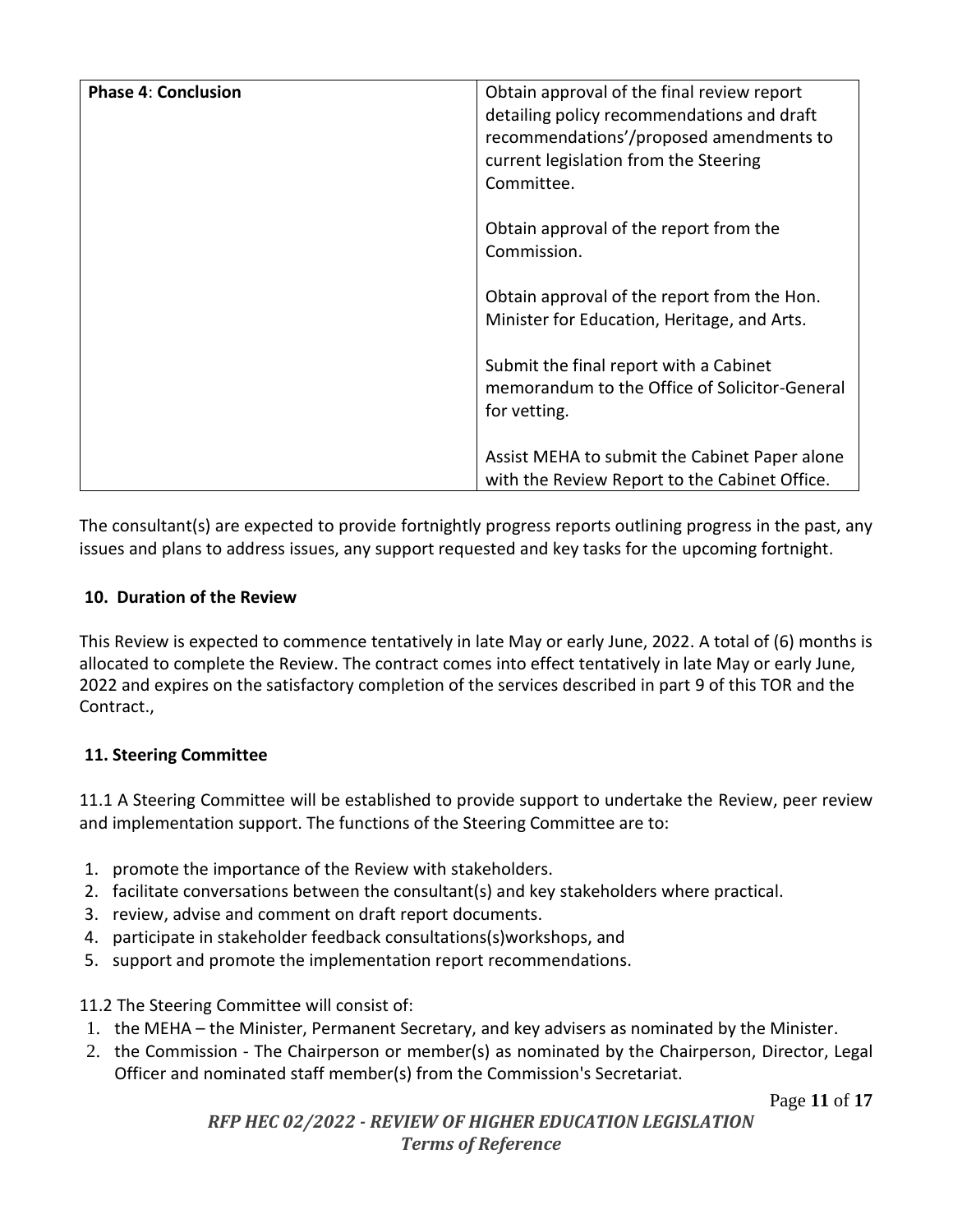| <b>Phase 4: Conclusion</b> | Obtain approval of the final review report<br>detailing policy recommendations and draft<br>recommendations'/proposed amendments to<br>current legislation from the Steering<br>Committee. |
|----------------------------|--------------------------------------------------------------------------------------------------------------------------------------------------------------------------------------------|
|                            | Obtain approval of the report from the<br>Commission.                                                                                                                                      |
|                            | Obtain approval of the report from the Hon.<br>Minister for Education, Heritage, and Arts.                                                                                                 |
|                            | Submit the final report with a Cabinet<br>memorandum to the Office of Solicitor-General<br>for vetting.                                                                                    |
|                            | Assist MEHA to submit the Cabinet Paper alone<br>with the Review Report to the Cabinet Office.                                                                                             |

The consultant(s) are expected to provide fortnightly progress reports outlining progress in the past, any issues and plans to address issues, any support requested and key tasks for the upcoming fortnight.

## <span id="page-10-0"></span>**10. Duration of the Review**

This Review is expected to commence tentatively in late May or early June, 2022. A total of (6) months is allocated to complete the Review. The contract comes into effect tentatively in late May or early June, 2022 and expires on the satisfactory completion of the services described in part 9 of this TOR and the Contract.,

#### <span id="page-10-1"></span>**11. Steering Committee**

11.1 A Steering Committee will be established to provide support to undertake the Review, peer review and implementation support. The functions of the Steering Committee are to:

- 1. promote the importance of the Review with stakeholders.
- 2. facilitate conversations between the consultant(s) and key stakeholders where practical.
- 3. review, advise and comment on draft report documents.
- 4. participate in stakeholder feedback consultations(s)workshops, and
- 5. support and promote the implementation report recommendations.

11.2 The Steering Committee will consist of:

- 1. the MEHA the Minister, Permanent Secretary, and key advisers as nominated by the Minister.
- 2. the Commission The Chairperson or member(s) as nominated by the Chairperson, Director, Legal Officer and nominated staff member(s) from the Commission's Secretariat.

Page **11** of **17**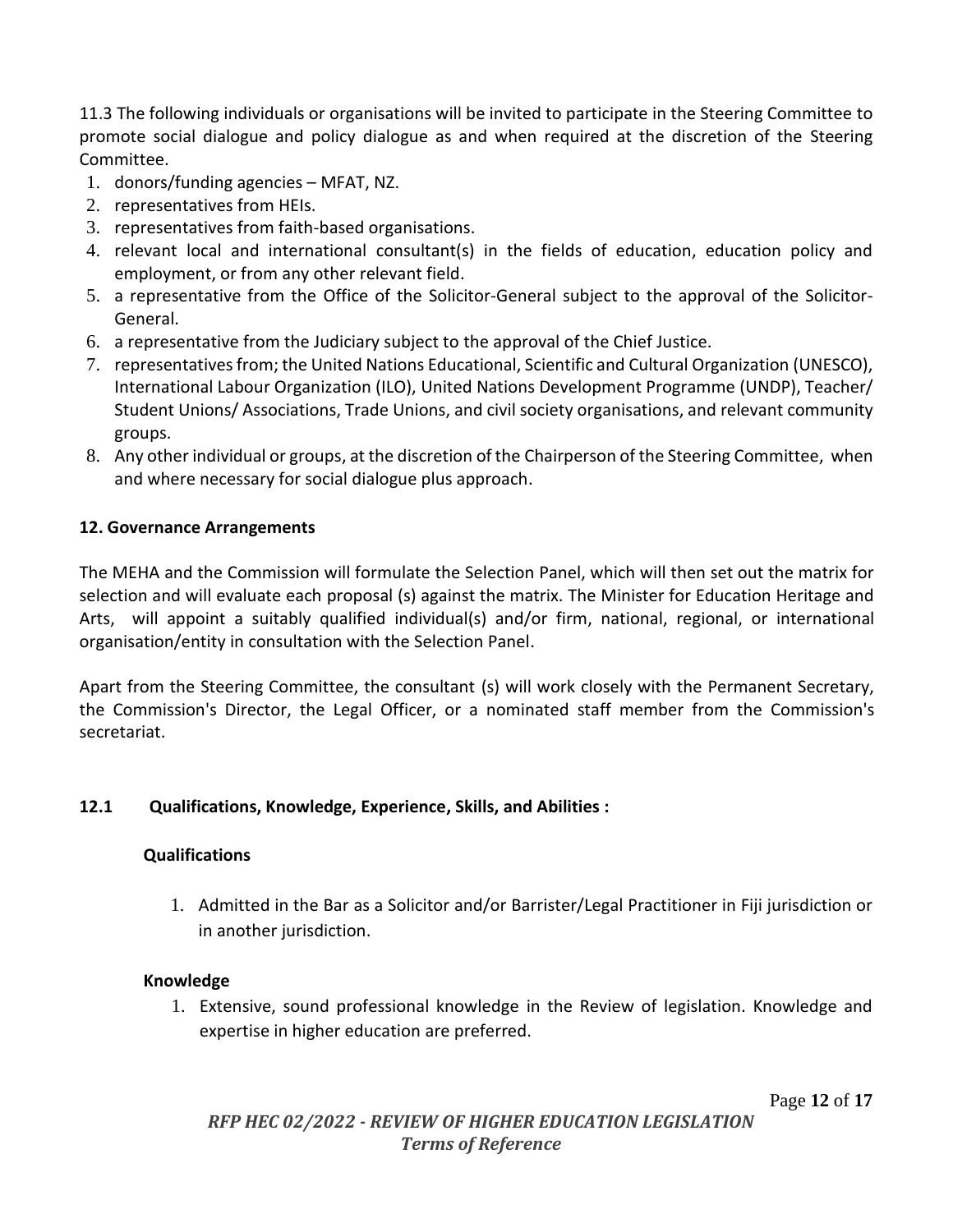11.3 The following individuals or organisations will be invited to participate in the Steering Committee to promote social dialogue and policy dialogue as and when required at the discretion of the Steering Committee.

- 1. donors/funding agencies MFAT, NZ.
- 2. representatives from HEIs.
- 3. representatives from faith-based organisations.
- 4. relevant local and international consultant(s) in the fields of education, education policy and employment, or from any other relevant field.
- 5. a representative from the Office of the Solicitor-General subject to the approval of the Solicitor-General.
- 6. a representative from the Judiciary subject to the approval of the Chief Justice.
- 7. representatives from; the United Nations Educational, Scientific and Cultural Organization (UNESCO), International Labour Organization (ILO), United Nations Development Programme (UNDP), Teacher/ Student Unions/ Associations, Trade Unions, and civil society organisations, and relevant community groups.
- 8. Any other individual or groups, at the discretion of the Chairperson of the Steering Committee, when and where necessary for social dialogue plus approach.

#### <span id="page-11-0"></span>**12. Governance Arrangements**

The MEHA and the Commission will formulate the Selection Panel, which will then set out the matrix for selection and will evaluate each proposal (s) against the matrix. The Minister for Education Heritage and Arts, will appoint a suitably qualified individual(s) and/or firm, national, regional, or international organisation/entity in consultation with the Selection Panel.

Apart from the Steering Committee, the consultant (s) will work closely with the Permanent Secretary, the Commission's Director, the Legal Officer, or a nominated staff member from the Commission's secretariat.

#### **12.1 Qualifications, Knowledge, Experience, Skills, and Abilities :**

#### **Qualifications**

1. Admitted in the Bar as a Solicitor and/or Barrister/Legal Practitioner in Fiji jurisdiction or in another jurisdiction.

#### **Knowledge**

1. Extensive, sound professional knowledge in the Review of legislation. Knowledge and expertise in higher education are preferred.

Page **12** of **17**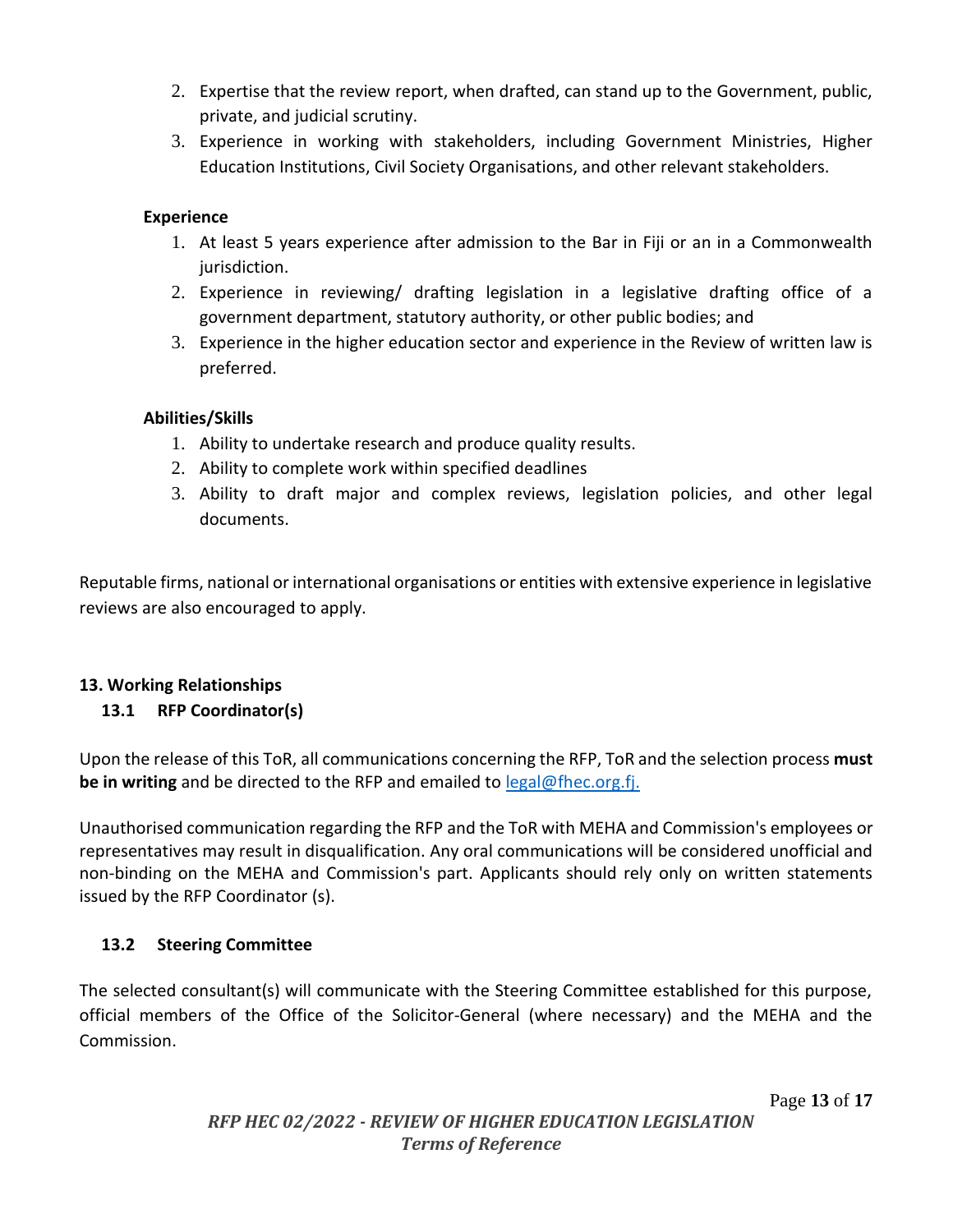- 2. Expertise that the review report, when drafted, can stand up to the Government, public, private, and judicial scrutiny.
- 3. Experience in working with stakeholders, including Government Ministries, Higher Education Institutions, Civil Society Organisations, and other relevant stakeholders.

#### **Experience**

- 1. At least 5 years experience after admission to the Bar in Fiji or an in a Commonwealth jurisdiction.
- 2. Experience in reviewing/ drafting legislation in a legislative drafting office of a government department, statutory authority, or other public bodies; and
- 3. Experience in the higher education sector and experience in the Review of written law is preferred.

#### **Abilities/Skills**

- 1. Ability to undertake research and produce quality results.
- 2. Ability to complete work within specified deadlines
- 3. Ability to draft major and complex reviews, legislation policies, and other legal documents.

Reputable firms, national or international organisations or entities with extensive experience in legislative reviews are also encouraged to apply.

## <span id="page-12-0"></span>**13. Working Relationships**

## **13.1 RFP Coordinator(s)**

Upon the release of this ToR, all communications concerning the RFP, ToR and the selection process **must be in writing** and be directed to the RFP and emailed to **[legal@fhec.org.fj.](mailto:legal@fhec.org.fj)** 

Unauthorised communication regarding the RFP and the ToR with MEHA and Commission's employees or representatives may result in disqualification. Any oral communications will be considered unofficial and non-binding on the MEHA and Commission's part. Applicants should rely only on written statements issued by the RFP Coordinator (s).

## **13.2 Steering Committee**

The selected consultant(s) will communicate with the Steering Committee established for this purpose, official members of the Office of the Solicitor-General (where necessary) and the MEHA and the Commission.

Page **13** of **17**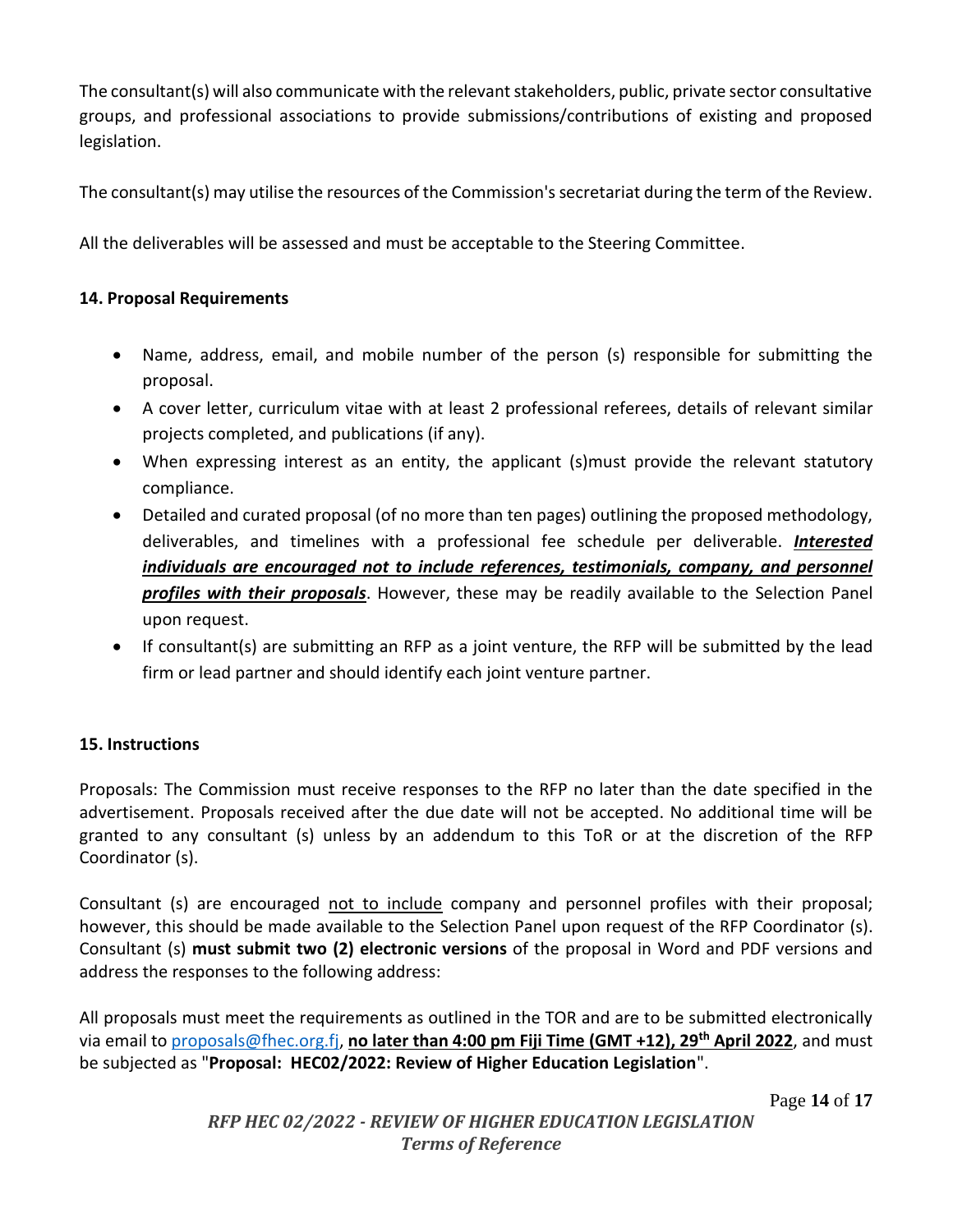The consultant(s) will also communicate with the relevant stakeholders, public, private sector consultative groups, and professional associations to provide submissions/contributions of existing and proposed legislation.

The consultant(s) may utilise the resources of the Commission's secretariat during the term of the Review.

All the deliverables will be assessed and must be acceptable to the Steering Committee.

## <span id="page-13-0"></span>**14. Proposal Requirements**

- Name, address, email, and mobile number of the person (s) responsible for submitting the proposal.
- A cover letter, curriculum vitae with at least 2 professional referees, details of relevant similar projects completed, and publications (if any).
- When expressing interest as an entity, the applicant (s)must provide the relevant statutory compliance.
- Detailed and curated proposal (of no more than ten pages) outlining the proposed methodology, deliverables, and timelines with a professional fee schedule per deliverable. *Interested individuals are encouraged not to include references, testimonials, company, and personnel profiles with their proposals*. However, these may be readily available to the Selection Panel upon request.
- If consultant(s) are submitting an RFP as a joint venture, the RFP will be submitted by the lead firm or lead partner and should identify each joint venture partner.

## <span id="page-13-1"></span>**15. Instructions**

Proposals: The Commission must receive responses to the RFP no later than the date specified in the advertisement. Proposals received after the due date will not be accepted. No additional time will be granted to any consultant (s) unless by an addendum to this ToR or at the discretion of the RFP Coordinator (s).

Consultant (s) are encouraged not to include company and personnel profiles with their proposal; however, this should be made available to the Selection Panel upon request of the RFP Coordinator (s). Consultant (s) **must submit two (2) electronic versions** of the proposal in Word and PDF versions and address the responses to the following address:

All proposals must meet the requirements as outlined in the TOR and are to be submitted electronically via email to [proposals@fhec.org.fj,](mailto:proposals@fhec.org.fj) **no later than 4:00 pm Fiji Time (GMT +12), 29 th April 2022**, and must be subjected as "**Proposal: HEC02/2022: Review of Higher Education Legislation**".

Page **14** of **17**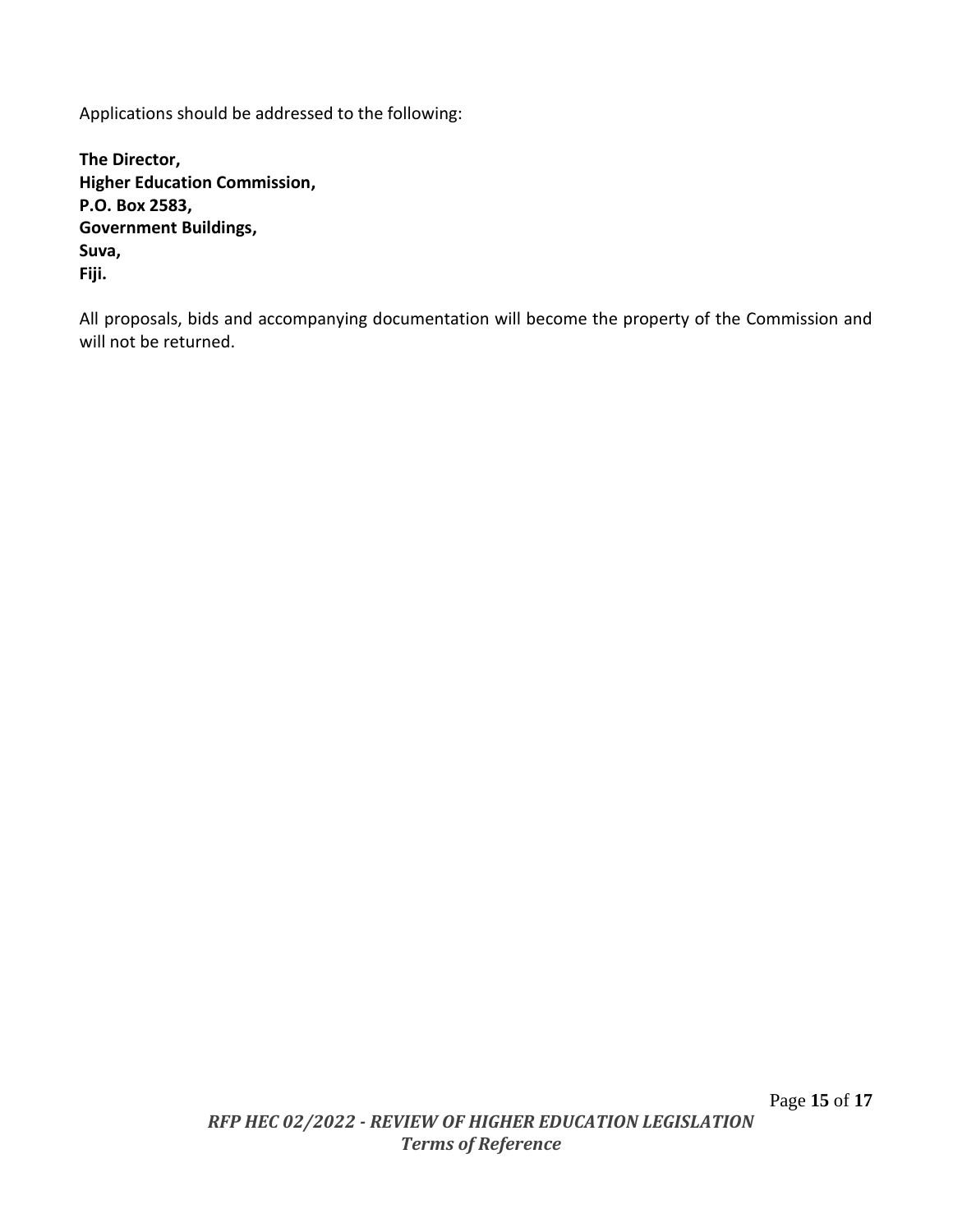Applications should be addressed to the following:

**The Director, Higher Education Commission, P.O. Box 2583, Government Buildings, Suva, Fiji.** 

All proposals, bids and accompanying documentation will become the property of the Commission and will not be returned.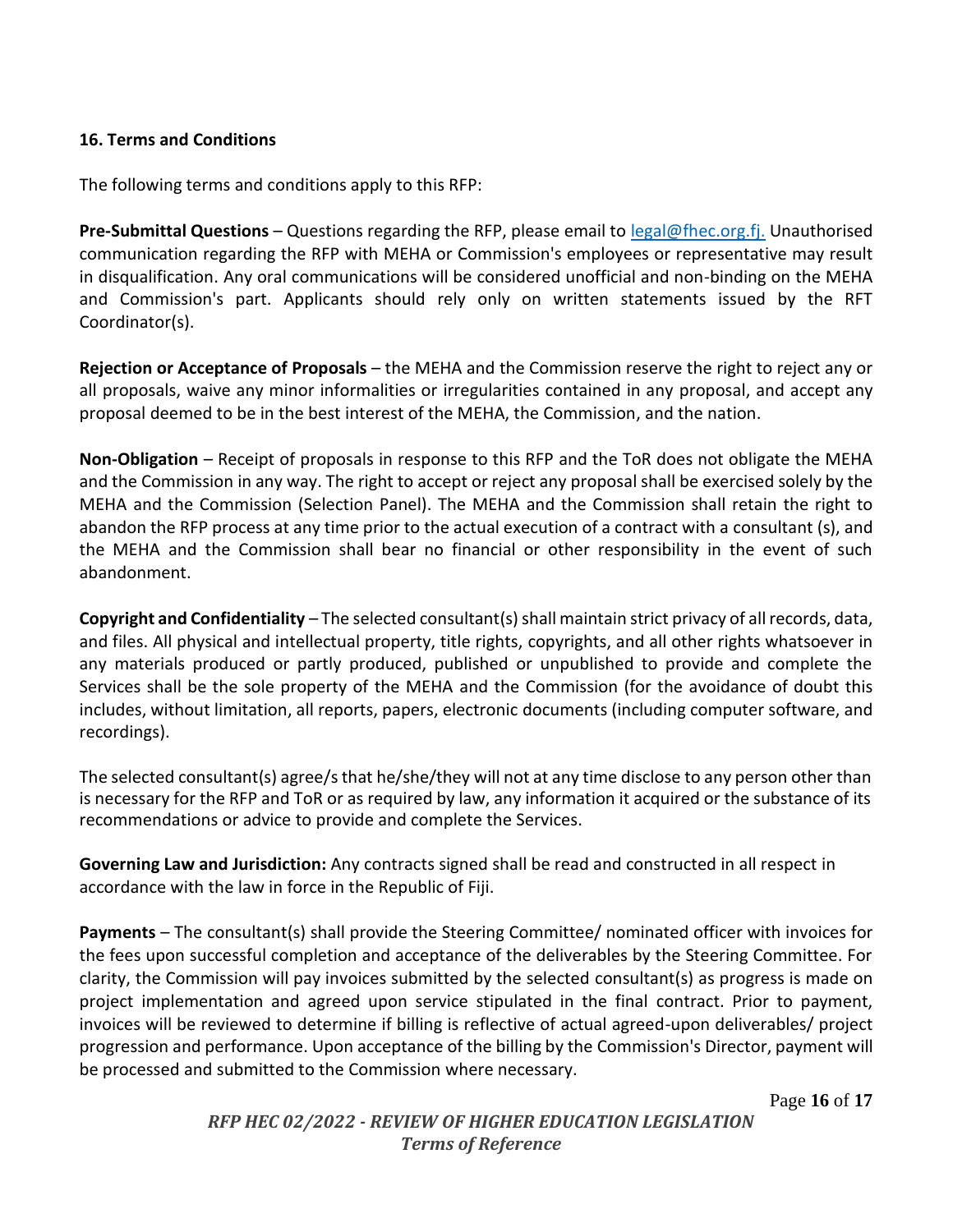#### <span id="page-15-0"></span>**16. Terms and Conditions**

The following terms and conditions apply to this RFP:

**Pre-Submittal Questions** – Questions regarding the RFP, please email to [legal@fhec.org.fj.](mailto:legal@fhec.org.fj) Unauthorised communication regarding the RFP with MEHA or Commission's employees or representative may result in disqualification. Any oral communications will be considered unofficial and non-binding on the MEHA and Commission's part. Applicants should rely only on written statements issued by the RFT Coordinator(s).

**Rejection or Acceptance of Proposals** – the MEHA and the Commission reserve the right to reject any or all proposals, waive any minor informalities or irregularities contained in any proposal, and accept any proposal deemed to be in the best interest of the MEHA, the Commission, and the nation.

**Non-Obligation** – Receipt of proposals in response to this RFP and the ToR does not obligate the MEHA and the Commission in any way. The right to accept or reject any proposal shall be exercised solely by the MEHA and the Commission (Selection Panel). The MEHA and the Commission shall retain the right to abandon the RFP process at any time prior to the actual execution of a contract with a consultant (s), and the MEHA and the Commission shall bear no financial or other responsibility in the event of such abandonment.

**Copyright and Confidentiality** – The selected consultant(s) shall maintain strict privacy of all records, data, and files. All physical and intellectual property, title rights, copyrights, and all other rights whatsoever in any materials produced or partly produced, published or unpublished to provide and complete the Services shall be the sole property of the MEHA and the Commission (for the avoidance of doubt this includes, without limitation, all reports, papers, electronic documents (including computer software, and recordings).

The selected consultant(s) agree/s that he/she/they will not at any time disclose to any person other than is necessary for the RFP and ToR or as required by law, any information it acquired or the substance of its recommendations or advice to provide and complete the Services.

**Governing Law and Jurisdiction:** Any contracts signed shall be read and constructed in all respect in accordance with the law in force in the Republic of Fiji.

**Payments** – The consultant(s) shall provide the Steering Committee/ nominated officer with invoices for the fees upon successful completion and acceptance of the deliverables by the Steering Committee. For clarity, the Commission will pay invoices submitted by the selected consultant(s) as progress is made on project implementation and agreed upon service stipulated in the final contract. Prior to payment, invoices will be reviewed to determine if billing is reflective of actual agreed-upon deliverables/ project progression and performance. Upon acceptance of the billing by the Commission's Director, payment will be processed and submitted to the Commission where necessary.

Page **16** of **17**